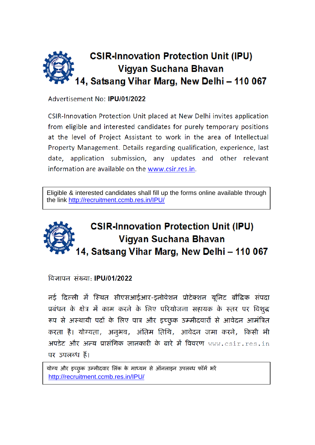

Advertisement No: IPU/01/2022

CSIR-Innovation Protection Unit placed at New Delhi invites application from eligible and interested candidates for purely temporary positions at the level of Project Assistant to work in the area of Intellectual Property Management. Details regarding qualification, experience, last date, application submission, any updates and other relevant information are available on the www.csir.res.in.

Eligible & interested candidates shall fill up the forms online available through the link <http://recruitment.ccmb.res.in/IPU/>

# **CSIR-Innovation Protection Unit (IPU)** Vigyan Suchana Bhavan 14, Satsang Vihar Marg, New Delhi - 110 067

विज्ञापत संख्या **IPU/01/2022** 

नई दिल्ली में स्थित सीएसआईआर-इनोवेशन प्रोटेक्शन यूनिट बौद्धिक संपदा प्रबंधन के क्षेत्र में काम करने के लिए परियोजना सहायक के स्तर पर विशुद्ध रूप से अस्थायी पदों के लिए पात्र और इच्छुक उम्मीदवारों से आवेदन आमंत्रित करता है। योग्यता, अनुभव, अंतिम तिथि, आवेदन जमा करने, किसी भी अपडेट और अन्य प्रासंगिक जानकारी के बारे में विवरण www.csir.res.in पर उपलब्ध हैं।

योग्य और इच्छुक उम्मीदवार लिंक के माध्यम से ऑनलाइन उपलब्ध फॉर्म भरें <http://recruitment.ccmb.res.in/IPU/>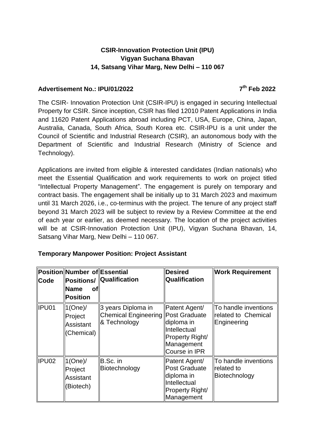## **CSIR-Innovation Protection Unit (IPU) Vigyan Suchana Bhavan 14, Satsang Vihar Marg, New Delhi – 110 067**

#### **Advertisement No.: IPU/01/2022**

#### **th Feb 2022**

The CSIR- Innovation Protection Unit (CSIR-IPU) is engaged in securing Intellectual Property for CSIR. Since inception, CSIR has filed 12010 Patent Applications in India and 11620 Patent Applications abroad including PCT, USA, Europe, China, Japan, Australia, Canada, South Africa, South Korea etc. CSIR-IPU is a unit under the Council of Scientific and Industrial Research (CSIR), an autonomous body with the Department of Scientific and Industrial Research (Ministry of Science and Technology).

Applications are invited from eligible & interested candidates (Indian nationals) who meet the Essential Qualification and work requirements to work on project titled "Intellectual Property Management". The engagement is purely on temporary and contract basis. The engagement shall be initially up to 31 March 2023 and maximum until 31 March 2026, i.e., co-terminus with the project. The tenure of any project staff beyond 31 March 2023 will be subject to review by a Review Committee at the end of each year or earlier, as deemed necessary. The location of the project activities will be at CSIR-Innovation Protection Unit (IPU), Vigyan Suchana Bhavan, 14, Satsang Vihar Marg, New Delhi – 110 067.

## **Temporary Manpower Position: Project Assistant**

| <b>Code</b> | Position Number of Essential<br><b>Name</b><br>Οf<br>Position | Positions/   Qualification                                               | <b>Desired</b><br>Qualification                                                                      | <b>Work Requirement</b>                                    |
|-------------|---------------------------------------------------------------|--------------------------------------------------------------------------|------------------------------------------------------------------------------------------------------|------------------------------------------------------------|
| ∥IPU01      | $1$ (One)/<br>Project<br><b>Assistant</b><br>(Chemical)       | 3 years Diploma in<br>Chemical Engineering Post Graduate<br>& Technology | Patent Agent/<br>diploma in<br>Intellectual<br>Property Right/<br>Management<br>Course in IPR        | To handle inventions<br>related to Chemical<br>Engineering |
| IPU02       | $1$ (One)/<br>Project<br><b>Assistant</b><br>(Biotech)        | B.Sc. in<br>Biotechnology                                                | Patent Agent/<br>Post Graduate<br>diploma in<br>Intellectual<br><b>Property Right/</b><br>Management | To handle inventions<br><b>related to</b><br>Biotechnology |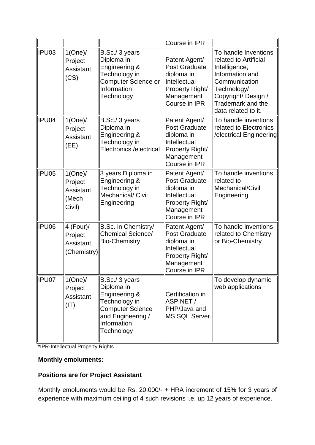|       |                                                              |                                                                                                                                             | Course in IPR                                                                                                                |                                                                                                                                                                                      |
|-------|--------------------------------------------------------------|---------------------------------------------------------------------------------------------------------------------------------------------|------------------------------------------------------------------------------------------------------------------------------|--------------------------------------------------------------------------------------------------------------------------------------------------------------------------------------|
| IPU03 | $1$ (One)/<br>Project<br><b>Assistant</b><br>(CS)            | B.Sc./ 3 years<br>Diploma in<br>Engineering &<br>Technology in<br>Computer Science or<br>Information<br>Technology                          | Patent Agent/<br><b>Post Graduate</b><br>diploma in<br>Intellectual<br>Property Right/<br>Management<br>Course in IPR        | To handle Inventions<br>related to Artificial<br>Intelligence,<br>Information and<br>Communication<br>Technology/<br>Copyright/ Design /<br>Trademark and the<br>data related to it. |
| IPU04 | $1$ (One)/<br>Project<br><b>Assistant</b><br>(EE)            | B.Sc./ 3 years<br>Diploma in<br>Engineering &<br>Technology in<br>Electronics / electrical                                                  | Patent Agent/<br><b>Post Graduate</b><br>diploma in<br>Intellectual<br>Property Right/<br>Management<br>Course in IPR        | To handle inventions<br>related to Electronics<br>/electrical Engineering                                                                                                            |
| IPU05 | $1$ (One)/<br>Project<br><b>Assistant</b><br>(Mech<br>Civil) | 3 years Diploma in<br>Engineering &<br>Technology in<br>Mechanical/ Civil<br>Engineering                                                    | Patent Agent/<br><b>Post Graduate</b><br>diploma in<br>Intellectual<br>Property Right/<br>Management<br>Course in IPR        | To handle inventions<br>related to<br>Mechanical/Civil<br>Engineering                                                                                                                |
| IPU06 | 4 (Four)/<br>Project<br><b>Assistant</b><br>(Chemistry)      | B.Sc. in Chemistry/<br><b>Chemical Science/</b><br><b>Bio-Chemistry</b>                                                                     | Patent Agent/<br><b>Post Graduate</b><br>diploma in<br>Intellectual<br>Property Right/<br>Management<br><b>Course in IPR</b> | To handle inventions<br>related to Chemistry<br>or Bio-Chemistry                                                                                                                     |
| IPU07 | $1$ (One)/<br>Project<br><b>Assistant</b><br>(TI)            | B.Sc./ 3 years<br>Diploma in<br>Engineering &<br>Technology in<br><b>Computer Science</b><br>and Engineering /<br>Information<br>Technology | Certification in<br>ASP.NET /<br>PHP/Java and<br><b>MS SQL Server.</b>                                                       | To develop dynamic<br>web applications                                                                                                                                               |

\*IPR-Intellectual Property Rights

## **Monthly emoluments:**

## **Positions are for Project Assistant**

Monthly emoluments would be Rs. 20,000/- + HRA increment of 15% for 3 years of experience with maximum ceiling of 4 such revisions i.e. up 12 years of experience.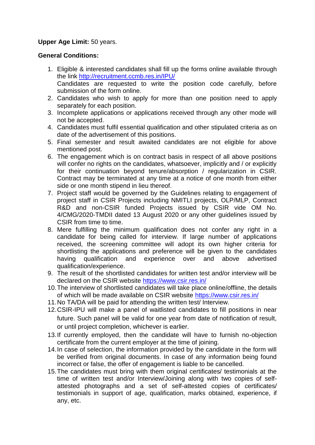### **Upper Age Limit:** 50 years.

#### **General Conditions:**

- 1. Eligible & interested candidates shall fill up the forms online available through the link <http://recruitment.ccmb.res.in/IPU/> Candidates are requested to write the position code carefully, before submission of the form online.
- 2. Candidates who wish to apply for more than one position need to apply separately for each position.
- 3. Incomplete applications or applications received through any other mode will not be accepted.
- 4. Candidates must fulfil essential qualification and other stipulated criteria as on date of the advertisement of this positions.
- 5. Final semester and result awaited candidates are not eligible for above mentioned post.
- 6. The engagement which is on contract basis in respect of all above positions will confer no rights on the candidates, whatsoever, implicitly and / or explicitly for their continuation beyond tenure/absorption / regularization in CSIR. Contract may be terminated at any time at a notice of one month from either side or one month stipend in lieu thereof.
- 7. Project staff would be governed by the Guidelines relating to engagement of project staff in CSIR Projects including NMITLI projects, OLP/MLP, Contract R&D and non-CSIR funded Projects issued by CSIR vide OM No. 4/CMG/2020-TMDII dated 13 August 2020 or any other guidelines issued by CSIR from time to time.
- 8. Mere fulfilling the minimum qualification does not confer any right in a candidate for being called for interview. If large number of applications received, the screening committee will adopt its own higher criteria for shortlisting the applications and preference will be given to the candidates having qualification and experience over and above advertised qualification/experience.
- 9. The result of the shortlisted candidates for written test and/or interview will be declared on the CSIR website <https://www.csir.res.in/>
- 10.The interview of shortlisted candidates will take place online/offline, the details of which will be made available on CSIR website <https://www.csir.res.in/>
- 11.No TA/DA will be paid for attending the written test/ Interview.
- 12.CSIR-IPU will make a panel of waitlisted candidates to fill positions in near future. Such panel will be valid for one year from date of notification of result, or until project completion, whichever is earlier.
- 13.If currently employed, then the candidate will have to furnish no-objection certificate from the current employer at the time of joining.
- 14.In case of selection, the information provided by the candidate in the form will be verified from original documents. In case of any information being found incorrect or false, the offer of engagement is liable to be cancelled.
- 15.The candidates must bring with them original certificates/ testimonials at the time of written test and/or Interview/Joining along with two copies of selfattested photographs and a set of self-attested copies of certificates/ testimonials in support of age, qualification, marks obtained, experience, if any, etc.